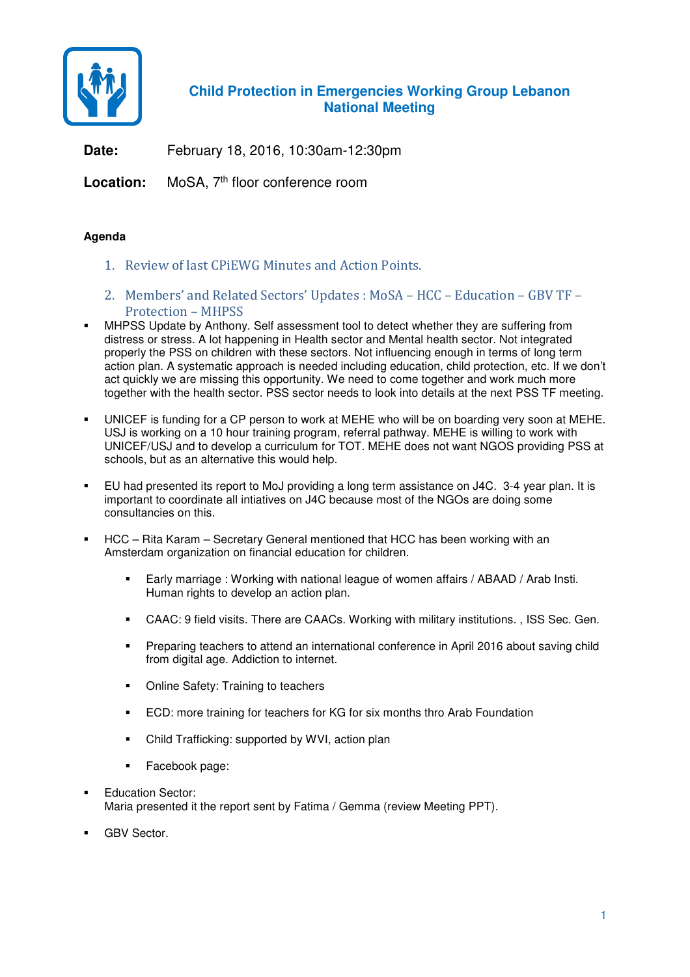

## **Child Protection in Emergencies Working Group Lebanon National Meeting**

**Date:** February 18, 2016, 10:30am-12:30pm

Location: MoSA, 7<sup>th</sup> floor conference room

## **Agenda**

- 1. Review of last CPiEWG Minutes and Action Points.
- 2. Members' and Related Sectors' Updates : MoSA HCC Education GBV TF Protection – MHPSS
- MHPSS Update by Anthony. Self assessment tool to detect whether they are suffering from distress or stress. A lot happening in Health sector and Mental health sector. Not integrated properly the PSS on children with these sectors. Not influencing enough in terms of long term action plan. A systematic approach is needed including education, child protection, etc. If we don't act quickly we are missing this opportunity. We need to come together and work much more together with the health sector. PSS sector needs to look into details at the next PSS TF meeting.
- UNICEF is funding for a CP person to work at MEHE who will be on boarding very soon at MEHE. USJ is working on a 10 hour training program, referral pathway. MEHE is willing to work with UNICEF/USJ and to develop a curriculum for TOT. MEHE does not want NGOS providing PSS at schools, but as an alternative this would help.
- EU had presented its report to MoJ providing a long term assistance on J4C. 3-4 year plan. It is important to coordinate all intiatives on J4C because most of the NGOs are doing some consultancies on this.
- HCC Rita Karam Secretary General mentioned that HCC has been working with an Amsterdam organization on financial education for children.
	- Early marriage : Working with national league of women affairs / ABAAD / Arab Insti. Human rights to develop an action plan.
	- CAAC: 9 field visits. There are CAACs. Working with military institutions. , ISS Sec. Gen.
	- **Preparing teachers to attend an international conference in April 2016 about saving child** from digital age. Addiction to internet.
	- Online Safety: Training to teachers
	- ECD: more training for teachers for KG for six months thro Arab Foundation
	- Child Trafficking: supported by WVI, action plan
	- Facebook page:
- Education Sector: Maria presented it the report sent by Fatima / Gemma (review Meeting PPT).
- GBV Sector.